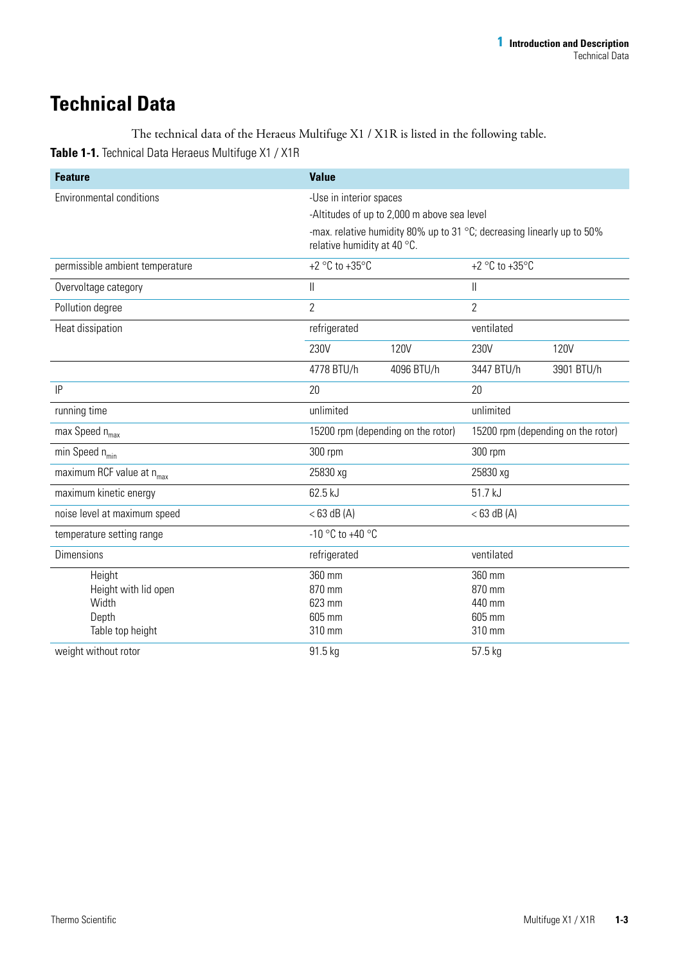## **Technical Data**

## The technical data of the Heraeus Multifuge X1 / X1R is listed in the following table. **Table 1-1.** Technical Data Heraeus Multifuge X1 / X1R

| <b>Feature</b>                        | <b>Value</b>                                                                                          |             |                                    |             |
|---------------------------------------|-------------------------------------------------------------------------------------------------------|-------------|------------------------------------|-------------|
| <b>Environmental conditions</b>       | -Use in interior spaces                                                                               |             |                                    |             |
|                                       | -Altitudes of up to 2,000 m above sea level                                                           |             |                                    |             |
|                                       | -max. relative humidity 80% up to 31 °C; decreasing linearly up to 50%<br>relative humidity at 40 °C. |             |                                    |             |
| permissible ambient temperature       | +2 $\degree$ C to +35 $\degree$ C                                                                     |             | +2 $\degree$ C to +35 $\degree$ C  |             |
| Overvoltage category                  | $\vert\vert$                                                                                          |             | $\parallel$                        |             |
| Pollution degree                      | $\overline{2}$                                                                                        |             | $\overline{2}$                     |             |
| Heat dissipation                      | refrigerated                                                                                          |             | ventilated                         |             |
|                                       | 230V                                                                                                  | <b>120V</b> | 230V                               | <b>120V</b> |
|                                       | 4778 BTU/h                                                                                            | 4096 BTU/h  | 3447 BTU/h                         | 3901 BTU/h  |
| IP                                    | 20                                                                                                    |             | 20                                 |             |
| running time                          | unlimited                                                                                             |             | unlimited                          |             |
| max Speed $n_{max}$                   | 15200 rpm (depending on the rotor)                                                                    |             | 15200 rpm (depending on the rotor) |             |
| min Speed $n_{min}$                   | 300 rpm                                                                                               |             | 300 rpm                            |             |
| maximum RCF value at n <sub>max</sub> | 25830 xg                                                                                              |             | 25830 xg                           |             |
| maximum kinetic energy                | 62.5 kJ                                                                                               |             | 51.7 kJ                            |             |
| noise level at maximum speed          | $<$ 63 dB (A)                                                                                         |             | $<$ 63 dB (A)                      |             |
| temperature setting range             | -10 °C to +40 °C                                                                                      |             |                                    |             |
| <b>Dimensions</b>                     | refrigerated                                                                                          |             | ventilated                         |             |
| Height                                | 360 mm                                                                                                |             | 360 mm                             |             |
| Height with lid open                  | 870 mm                                                                                                |             | 870 mm                             |             |
| Width                                 | 623 mm                                                                                                |             | 440 mm                             |             |
| Depth                                 | 605 mm                                                                                                |             | 605 mm                             |             |
| Table top height                      | 310 mm                                                                                                |             | 310 mm                             |             |
| weight without rotor                  | 91.5 kg                                                                                               |             | 57.5 kg                            |             |